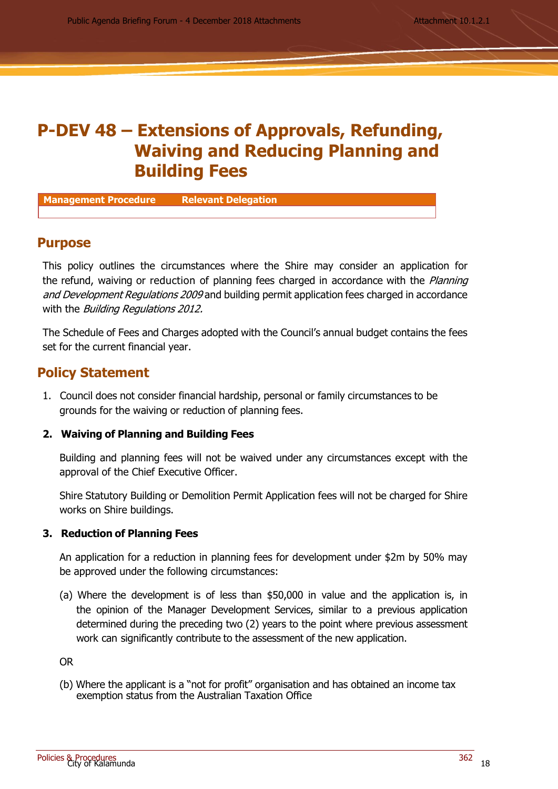# **P-DEV 48 – Extensions of Approvals, Refunding, Waiving and Reducing Planning and Building Fees**

**Management Procedure Relevant Delegation**

## **Purpose**

This policy outlines the circumstances where the Shire may consider an application for the refund, waiving or reduction of planning fees charged in accordance with the *Planning* and Development Regulations 2009 and building permit application fees charged in accordance with the *Building Regulations 2012.* 

The Schedule of Fees and Charges adopted with the Council's annual budget contains the fees set for the current financial year.

# **Policy Statement**

1. Council does not consider financial hardship, personal or family circumstances to be grounds for the waiving or reduction of planning fees.

#### **2. Waiving of Planning and Building Fees**

Building and planning fees will not be waived under any circumstances except with the approval of the Chief Executive Officer.

Shire Statutory Building or Demolition Permit Application fees will not be charged for Shire works on Shire buildings.

#### **3. Reduction of Planning Fees**

An application for a reduction in planning fees for development under \$2m by 50% may be approved under the following circumstances:

(a) Where the development is of less than \$50,000 in value and the application is, in the opinion of the Manager Development Services, similar to a previous application determined during the preceding two (2) years to the point where previous assessment work can significantly contribute to the assessment of the new application.

OR

(b) Where the applicant is a "not for profit" organisation and has obtained an income tax exemption status from the Australian Taxation Office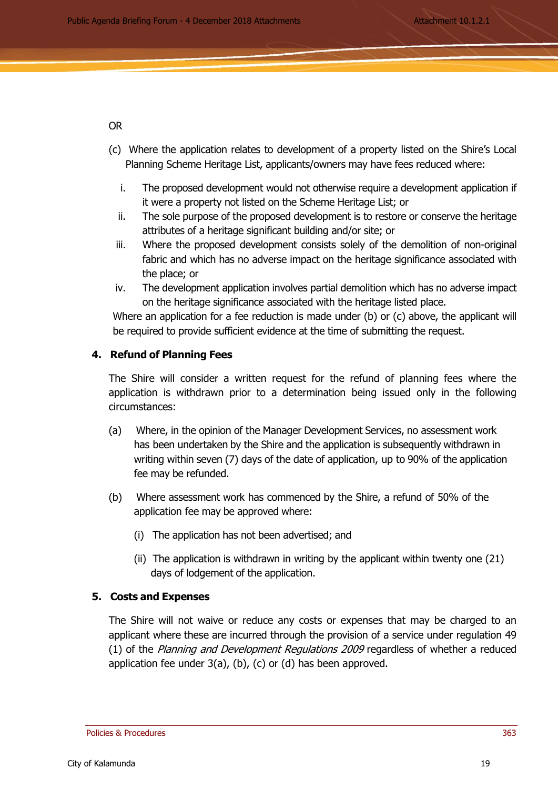## OR

- (c) Where the application relates to development of a property listed on the Shire's Local Planning Scheme Heritage List, applicants/owners may have fees reduced where:
	- i. The proposed development would not otherwise require a development application if it were a property not listed on the Scheme Heritage List; or
	- ii. The sole purpose of the proposed development is to restore or conserve the heritage attributes of a heritage significant building and/or site; or
	- iii. Where the proposed development consists solely of the demolition of non-original fabric and which has no adverse impact on the heritage significance associated with the place; or
	- iv. The development application involves partial demolition which has no adverse impact on the heritage significance associated with the heritage listed place.

Where an application for a fee reduction is made under (b) or (c) above, the applicant will be required to provide sufficient evidence at the time of submitting the request.

# **4. Refund of Planning Fees**

The Shire will consider a written request for the refund of planning fees where the application is withdrawn prior to a determination being issued only in the following circumstances:

- (a) Where, in the opinion of the Manager Development Services, no assessment work has been undertaken by the Shire and the application is subsequently withdrawn in writing within seven (7) days of the date of application, up to 90% of the application fee may be refunded.
- (b) Where assessment work has commenced by the Shire, a refund of 50% of the application fee may be approved where:
	- (i) The application has not been advertised; and
	- (ii) The application is withdrawn in writing by the applicant within twenty one (21) days of lodgement of the application.

#### **5. Costs and Expenses**

The Shire will not waive or reduce any costs or expenses that may be charged to an applicant where these are incurred through the provision of a service under regulation 49 (1) of the Planning and Development Regulations 2009 regardless of whether a reduced application fee under 3(a), (b), (c) or (d) has been approved.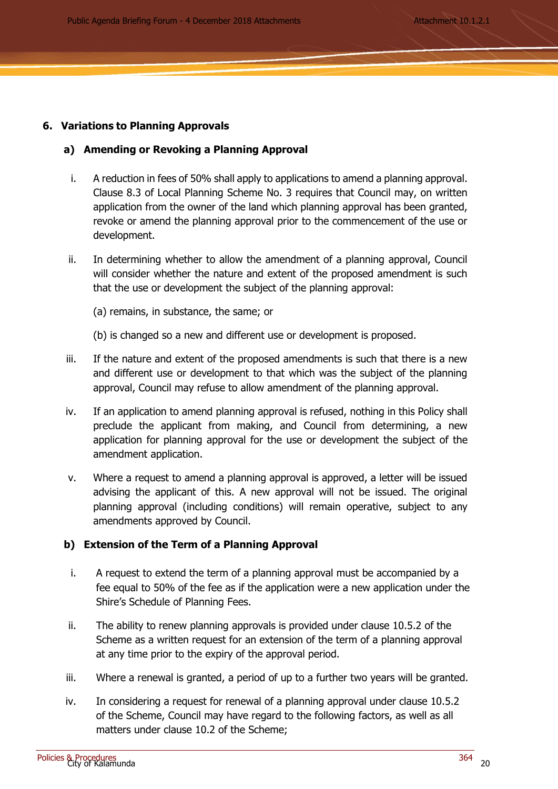Public Agenda Briefing Forum - 4 December 2018 Attachments **Attachment 10.1.2.1** 

# **6. Variations to Planning Approvals**

## **a) Amending or Revoking a Planning Approval**

- i. A reduction in fees of 50% shall apply to applications to amend a planning approval. Clause 8.3 of Local Planning Scheme No. 3 requires that Council may, on written application from the owner of the land which planning approval has been granted, revoke or amend the planning approval prior to the commencement of the use or development.
- ii. In determining whether to allow the amendment of a planning approval, Council will consider whether the nature and extent of the proposed amendment is such that the use or development the subject of the planning approval:
	- (a) remains, in substance, the same; or
	- (b) is changed so a new and different use or development is proposed.
- iii. If the nature and extent of the proposed amendments is such that there is a new and different use or development to that which was the subject of the planning approval, Council may refuse to allow amendment of the planning approval.
- iv. If an application to amend planning approval is refused, nothing in this Policy shall preclude the applicant from making, and Council from determining, a new application for planning approval for the use or development the subject of the amendment application.
- v. Where a request to amend a planning approval is approved, a letter will be issued advising the applicant of this. A new approval will not be issued. The original planning approval (including conditions) will remain operative, subject to any amendments approved by Council.

# **b) Extension of the Term of a Planning Approval**

- i. A request to extend the term of a planning approval must be accompanied by a fee equal to 50% of the fee as if the application were a new application under the Shire's Schedule of Planning Fees.
- ii. The ability to renew planning approvals is provided under clause 10.5.2 of the Scheme as a written request for an extension of the term of a planning approval at any time prior to the expiry of the approval period.
- iii. Where a renewal is granted, a period of up to a further two years will be granted.
- iv. In considering a request for renewal of a planning approval under clause 10.5.2 of the Scheme, Council may have regard to the following factors, as well as all matters under clause 10.2 of the Scheme;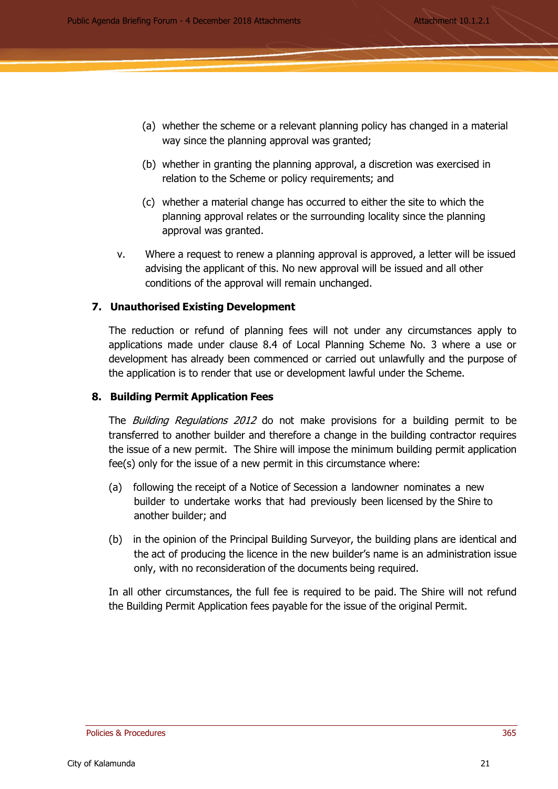- (a) whether the scheme or a relevant planning policy has changed in a material way since the planning approval was granted;
- (b) whether in granting the planning approval, a discretion was exercised in relation to the Scheme or policy requirements; and
- (c) whether a material change has occurred to either the site to which the planning approval relates or the surrounding locality since the planning approval was granted.
- v. Where a request to renew a planning approval is approved, a letter will be issued advising the applicant of this. No new approval will be issued and all other conditions of the approval will remain unchanged.

# **7. Unauthorised Existing Development**

The reduction or refund of planning fees will not under any circumstances apply to applications made under clause 8.4 of Local Planning Scheme No. 3 where a use or development has already been commenced or carried out unlawfully and the purpose of the application is to render that use or development lawful under the Scheme.

# **8. Building Permit Application Fees**

The *Building Regulations 2012* do not make provisions for a building permit to be transferred to another builder and therefore a change in the building contractor requires the issue of a new permit. The Shire will impose the minimum building permit application fee(s) only for the issue of a new permit in this circumstance where:

- (a) following the receipt of a Notice of Secession a landowner nominates a new builder to undertake works that had previously been licensed by the Shire to another builder; and
- (b) in the opinion of the Principal Building Surveyor, the building plans are identical and the act of producing the licence in the new builder's name is an administration issue only, with no reconsideration of the documents being required.

In all other circumstances, the full fee is required to be paid. The Shire will not refund the Building Permit Application fees payable for the issue of the original Permit.